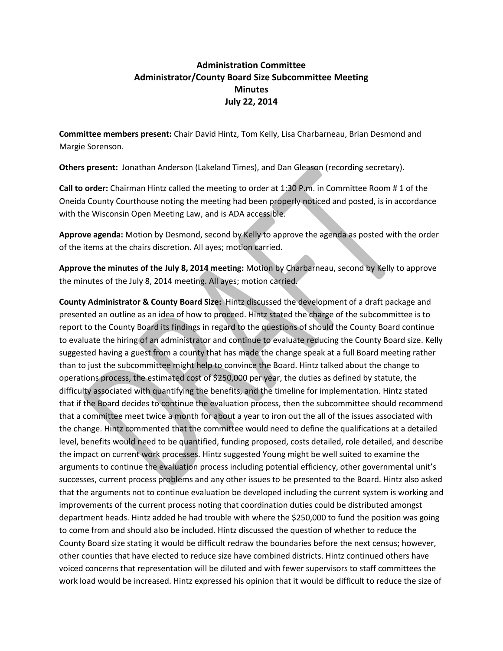## **Administration Committee Administrator/County Board Size Subcommittee Meeting Minutes July 22, 2014**

**Committee members present:** Chair David Hintz, Tom Kelly, Lisa Charbarneau, Brian Desmond and Margie Sorenson.

**Others present:** Jonathan Anderson (Lakeland Times), and Dan Gleason (recording secretary).

**Call to order:** Chairman Hintz called the meeting to order at 1:30 P.m. in Committee Room # 1 of the Oneida County Courthouse noting the meeting had been properly noticed and posted, is in accordance with the Wisconsin Open Meeting Law, and is ADA accessible.

**Approve agenda:** Motion by Desmond, second by Kelly to approve the agenda as posted with the order of the items at the chairs discretion. All ayes; motion carried.

**Approve the minutes of the July 8, 2014 meeting:** Motion by Charbarneau, second by Kelly to approve the minutes of the July 8, 2014 meeting. All ayes; motion carried.

**County Administrator & County Board Size:** Hintz discussed the development of a draft package and presented an outline as an idea of how to proceed. Hintz stated the charge of the subcommittee is to report to the County Board its findings in regard to the questions of should the County Board continue to evaluate the hiring of an administrator and continue to evaluate reducing the County Board size. Kelly suggested having a guest from a county that has made the change speak at a full Board meeting rather than to just the subcommittee might help to convince the Board. Hintz talked about the change to operations process, the estimated cost of \$250,000 per year, the duties as defined by statute, the difficulty associated with quantifying the benefits, and the timeline for implementation. Hintz stated that if the Board decides to continue the evaluation process, then the subcommittee should recommend that a committee meet twice a month for about a year to iron out the all of the issues associated with the change. Hintz commented that the committee would need to define the qualifications at a detailed level, benefits would need to be quantified, funding proposed, costs detailed, role detailed, and describe the impact on current work processes. Hintz suggested Young might be well suited to examine the arguments to continue the evaluation process including potential efficiency, other governmental unit's successes, current process problems and any other issues to be presented to the Board. Hintz also asked that the arguments not to continue evaluation be developed including the current system is working and improvements of the current process noting that coordination duties could be distributed amongst department heads. Hintz added he had trouble with where the \$250,000 to fund the position was going to come from and should also be included. Hintz discussed the question of whether to reduce the County Board size stating it would be difficult redraw the boundaries before the next census; however, other counties that have elected to reduce size have combined districts. Hintz continued others have voiced concerns that representation will be diluted and with fewer supervisors to staff committees the work load would be increased. Hintz expressed his opinion that it would be difficult to reduce the size of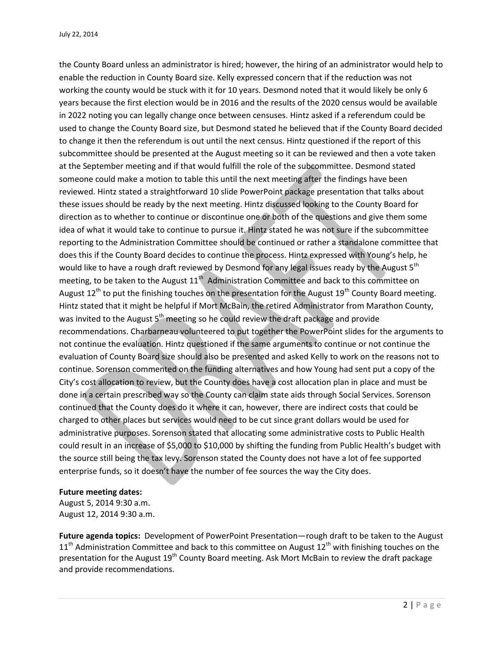the County Board unless an administrator is hired; however, the hiring of an administrator would help to enable the reduction in County Board size. Kelly expressed concern that if the reduction was not working the county would be stuck with it for 10 years. Desmond noted that it would likely be only 6 years because the first election would be in 2016 and the results of the 2020 census would be available in 2022 noting you can legally change once between censuses. Hintz asked if a referendum could be used to change the County Board size, but Desmond stated he believed that if the County Board decided to change it then the referendum is out until the next census. Hintz questioned if the report of this subcommittee should be presented at the August meeting so it can be reviewed and then a vote taken at the September meeting and if that would fulfill the role of the subcommittee. Desmond stated someone could make a motion to table this until the next meeting after the findings have been reviewed. Hintz stated a straightforward 10 slide PowerPoint package presentation that talks about these issues should be ready by the next meeting. Hintz discussed looking to the County Board for direction as to whether to continue or discontinue one or both of the questions and give them some idea of what it would take to continue to pursue it. Hintz stated he was not sure if the subcommittee reporting to the Administration Committee should be continued or rather a standalone committee that does this if the County Board decides to continue the process. Hintz expressed with Young's help, he would like to have a rough draft reviewed by Desmond for any legal issues ready by the August 5<sup>th</sup> meeting, to be taken to the August  $11<sup>th</sup>$  Administration Committee and back to this committee on August 12<sup>th</sup> to put the finishing touches on the presentation for the August 19<sup>th</sup> County Board meeting. Hintz stated that it might be helpful if Mort McBain, the retired Administrator from Marathon County, was invited to the August  $5<sup>th</sup>$  meeting so he could review the draft package and provide recommendations. Charbarneau volunteered to put together the PowerPoint slides for the arguments to not continue the evaluation. Hintz questioned if the same arguments to continue or not continue the evaluation of County Board size should also be presented and asked Kelly to work on the reasons not to continue. Sorenson commented on the funding alternatives and how Young had sent put a copy of the City's cost allocation to review, but the County does have a cost allocation plan in place and must be done in a certain prescribed way so the County can claim state aids through Social Services. Sorenson continued that the County does do it where it can, however, there are indirect costs that could be charged to other places but services would need to be cut since grant dollars would be used for administrative purposes. Sorenson stated that allocating some administrative costs to Public Health could result in an increase of \$5,000 to \$10,000 by shifting the funding from Public Health's budget with the source still being the tax levy. Sorenson stated the County does not have a lot of fee supported enterprise funds, so it doesn't have the number of fee sources the way the City does.

## **Future meeting dates:**

August 5, 2014 9:30 a.m. August 12, 2014 9:30 a.m.

**Future agenda topics:** Development of PowerPoint Presentation—rough draft to be taken to the August  $11<sup>th</sup>$  Administration Committee and back to this committee on August  $12<sup>th</sup>$  with finishing touches on the presentation for the August 19<sup>th</sup> County Board meeting. Ask Mort McBain to review the draft package and provide recommendations.